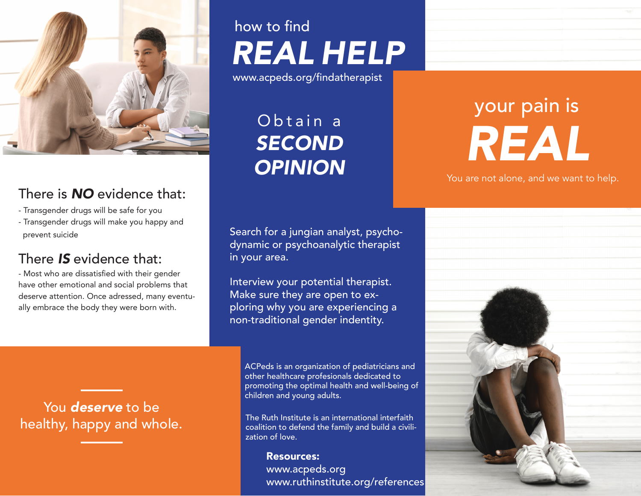

## There is *NO* evidence that:

- Transgender drugs will be safe for you
- Transgender drugs will make you happy and prevent suicide

### There *IS* evidence that:

- Most who are dissatisfied with their gender have other emotional and social problems that deserve attention. Once adressed, many eventually embrace the body they were born with.

You *deserve* to be healthy, happy and whole.

## how to find *REAL HELP*

www.acpeds.org/findatherapist

Obtain a *SECOND OPINION*

Search for a jungian analyst, psychodynamic or psychoanalytic therapist in your area.

Interview your potential therapist. Make sure they are open to exploring why you are experiencing a non-traditional gender indentity.

ACPeds is an organization of pediatricians and other healthcare profesionals dedicated to promoting the optimal health and well-being of children and young adults.

The Ruth Institute is an international interfaith coalition to defend the family and build a civilization of love.

Resources: www.acpeds.org www.ruthinstitute.org/references

# your pain is *REAL*

You are not alone, and we want to help.